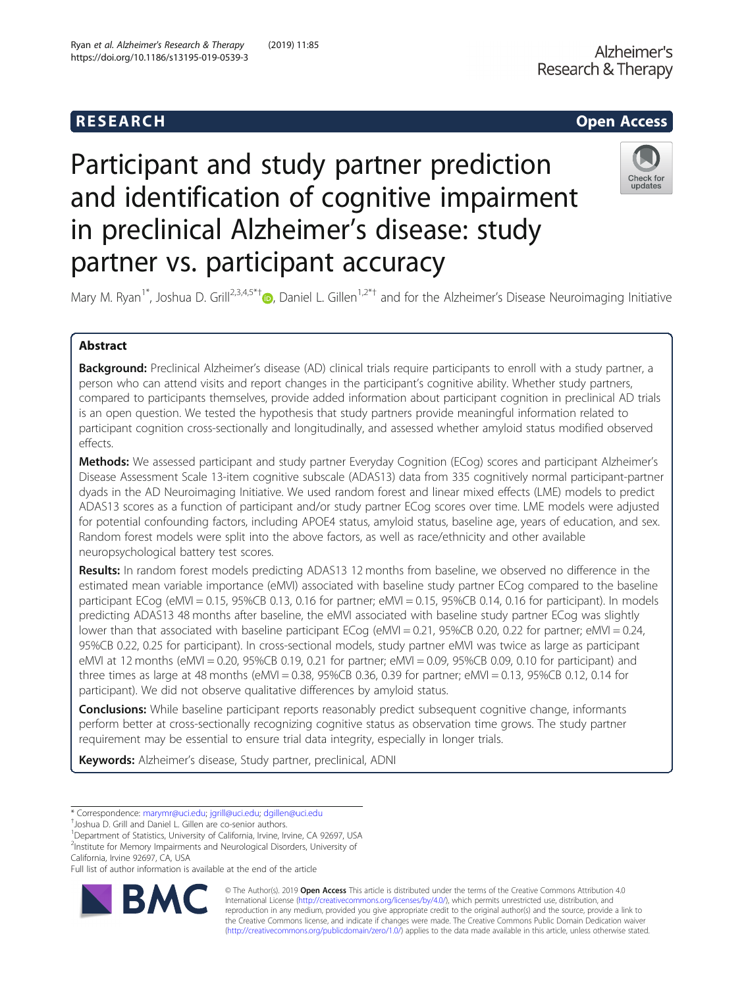# Participant and study partner prediction and identification of cognitive impairment in preclinical Alzheimer's disease: study partner vs. participant accuracy



Mary M. Ryan<sup>1\*</sup>[,](http://orcid.org/0000-0002-4215-7589) Joshua D. Grill<sup>2,3,4,5\*†</sup>  $\bullet$ , Daniel L. Gillen<sup>1,2\*†</sup> and for the Alzheimer's Disease Neuroimaging Initiative

## Abstract

Background: Preclinical Alzheimer's disease (AD) clinical trials require participants to enroll with a study partner, a person who can attend visits and report changes in the participant's cognitive ability. Whether study partners, compared to participants themselves, provide added information about participant cognition in preclinical AD trials is an open question. We tested the hypothesis that study partners provide meaningful information related to participant cognition cross-sectionally and longitudinally, and assessed whether amyloid status modified observed effects.

Methods: We assessed participant and study partner Everyday Cognition (ECog) scores and participant Alzheimer's Disease Assessment Scale 13-item cognitive subscale (ADAS13) data from 335 cognitively normal participant-partner dyads in the AD Neuroimaging Initiative. We used random forest and linear mixed effects (LME) models to predict ADAS13 scores as a function of participant and/or study partner ECog scores over time. LME models were adjusted for potential confounding factors, including APOE4 status, amyloid status, baseline age, years of education, and sex. Random forest models were split into the above factors, as well as race/ethnicity and other available neuropsychological battery test scores.

Results: In random forest models predicting ADAS13 12 months from baseline, we observed no difference in the estimated mean variable importance (eMVI) associated with baseline study partner ECog compared to the baseline participant ECog (eMVI = 0.15,  $95\%$ CB 0.13, 0.16 for partner; eMVI = 0.15,  $95\%$ CB 0.14, 0.16 for participant). In models predicting ADAS13 48 months after baseline, the eMVI associated with baseline study partner ECog was slightly lower than that associated with baseline participant ECog (eMVI = 0.21, 95%CB 0.20, 0.22 for partner; eMVI = 0.24, 95%CB 0.22, 0.25 for participant). In cross-sectional models, study partner eMVI was twice as large as participant eMVI at 12 months (eMVI = 0.20, 95%CB 0.19, 0.21 for partner; eMVI = 0.09, 95%CB 0.09, 0.10 for participant) and three times as large at 48 months (eMVI = 0.38, 95%CB 0.36, 0.39 for partner; eMVI = 0.13, 95%CB 0.12, 0.14 for participant). We did not observe qualitative differences by amyloid status.

**Conclusions:** While baseline participant reports reasonably predict subsequent cognitive change, informants perform better at cross-sectionally recognizing cognitive status as observation time grows. The study partner requirement may be essential to ensure trial data integrity, especially in longer trials.

Keywords: Alzheimer's disease, Study partner, preclinical, ADNI

\* Correspondence: [marymr@uci.edu;](mailto:marymr@uci.edu) [jgrill@uci.edu;](mailto:jgrill@uci.edu) [dgillen@uci.edu](mailto:dgillen@uci.edu) †

<sup>1</sup>Department of Statistics, University of California, Irvine, Irvine, CA 92697, USA <sup>2</sup>Institute for Memory Impairments and Neurological Disorders, University of California, Irvine 92697, CA, USA

Full list of author information is available at the end of the article



© The Author(s). 2019 **Open Access** This article is distributed under the terms of the Creative Commons Attribution 4.0 International License [\(http://creativecommons.org/licenses/by/4.0/](http://creativecommons.org/licenses/by/4.0/)), which permits unrestricted use, distribution, and reproduction in any medium, provided you give appropriate credit to the original author(s) and the source, provide a link to the Creative Commons license, and indicate if changes were made. The Creative Commons Public Domain Dedication waiver [\(http://creativecommons.org/publicdomain/zero/1.0/](http://creativecommons.org/publicdomain/zero/1.0/)) applies to the data made available in this article, unless otherwise stated.

Joshua D. Grill and Daniel L. Gillen are co-senior authors.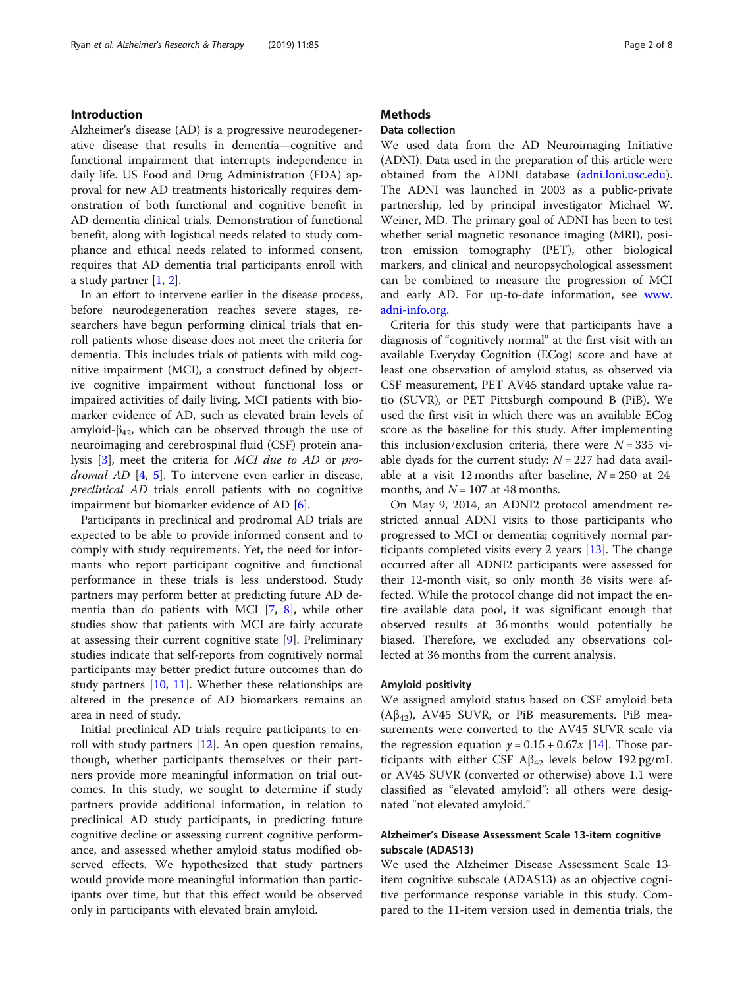## Introduction

Alzheimer's disease (AD) is a progressive neurodegenerative disease that results in dementia—cognitive and functional impairment that interrupts independence in daily life. US Food and Drug Administration (FDA) approval for new AD treatments historically requires demonstration of both functional and cognitive benefit in AD dementia clinical trials. Demonstration of functional benefit, along with logistical needs related to study compliance and ethical needs related to informed consent, requires that AD dementia trial participants enroll with a study partner  $[1, 2]$  $[1, 2]$  $[1, 2]$  $[1, 2]$ .

In an effort to intervene earlier in the disease process, before neurodegeneration reaches severe stages, researchers have begun performing clinical trials that enroll patients whose disease does not meet the criteria for dementia. This includes trials of patients with mild cognitive impairment (MCI), a construct defined by objective cognitive impairment without functional loss or impaired activities of daily living. MCI patients with biomarker evidence of AD, such as elevated brain levels of amyloid- $\beta_{42}$ , which can be observed through the use of neuroimaging and cerebrospinal fluid (CSF) protein analysis [\[3](#page-6-0)], meet the criteria for MCI due to AD or prodromal AD  $[4, 5]$  $[4, 5]$  $[4, 5]$ . To intervene even earlier in disease, preclinical AD trials enroll patients with no cognitive impairment but biomarker evidence of AD [\[6](#page-7-0)].

Participants in preclinical and prodromal AD trials are expected to be able to provide informed consent and to comply with study requirements. Yet, the need for informants who report participant cognitive and functional performance in these trials is less understood. Study partners may perform better at predicting future AD dementia than do patients with MCI [\[7](#page-7-0), [8](#page-7-0)], while other studies show that patients with MCI are fairly accurate at assessing their current cognitive state [[9](#page-7-0)]. Preliminary studies indicate that self-reports from cognitively normal participants may better predict future outcomes than do study partners [\[10,](#page-7-0) [11\]](#page-7-0). Whether these relationships are altered in the presence of AD biomarkers remains an area in need of study.

Initial preclinical AD trials require participants to enroll with study partners [\[12](#page-7-0)]. An open question remains, though, whether participants themselves or their partners provide more meaningful information on trial outcomes. In this study, we sought to determine if study partners provide additional information, in relation to preclinical AD study participants, in predicting future cognitive decline or assessing current cognitive performance, and assessed whether amyloid status modified observed effects. We hypothesized that study partners would provide more meaningful information than participants over time, but that this effect would be observed only in participants with elevated brain amyloid.

## **Methods**

## Data collection

We used data from the AD Neuroimaging Initiative (ADNI). Data used in the preparation of this article were obtained from the ADNI database [\(adni.loni.usc.edu](http://adni.loni.usc.edu/)). The ADNI was launched in 2003 as a public-private partnership, led by principal investigator Michael W. Weiner, MD. The primary goal of ADNI has been to test whether serial magnetic resonance imaging (MRI), positron emission tomography (PET), other biological markers, and clinical and neuropsychological assessment can be combined to measure the progression of MCI and early AD. For up-to-date information, see [www.](http://www.adni-info.org) [adni-info.org.](http://www.adni-info.org)

Criteria for this study were that participants have a diagnosis of "cognitively normal" at the first visit with an available Everyday Cognition (ECog) score and have at least one observation of amyloid status, as observed via CSF measurement, PET AV45 standard uptake value ratio (SUVR), or PET Pittsburgh compound B (PiB). We used the first visit in which there was an available ECog score as the baseline for this study. After implementing this inclusion/exclusion criteria, there were  $N = 335$  viable dyads for the current study:  $N = 227$  had data available at a visit 12 months after baseline,  $N = 250$  at 24 months, and  $N = 107$  at 48 months.

On May 9, 2014, an ADNI2 protocol amendment restricted annual ADNI visits to those participants who progressed to MCI or dementia; cognitively normal participants completed visits every 2 years [\[13\]](#page-7-0). The change occurred after all ADNI2 participants were assessed for their 12-month visit, so only month 36 visits were affected. While the protocol change did not impact the entire available data pool, it was significant enough that observed results at 36 months would potentially be biased. Therefore, we excluded any observations collected at 36 months from the current analysis.

### Amyloid positivity

We assigned amyloid status based on CSF amyloid beta (Aβ<sub>42</sub>), AV45 SUVR, or PiB measurements. PiB measurements were converted to the AV45 SUVR scale via the regression equation  $y = 0.15 + 0.67x$  [\[14](#page-7-0)]. Those participants with either CSF  $A\beta_{42}$  levels below 192 pg/mL or AV45 SUVR (converted or otherwise) above 1.1 were classified as "elevated amyloid": all others were designated "not elevated amyloid."

## Alzheimer's Disease Assessment Scale 13-item cognitive subscale (ADAS13)

We used the Alzheimer Disease Assessment Scale 13 item cognitive subscale (ADAS13) as an objective cognitive performance response variable in this study. Compared to the 11-item version used in dementia trials, the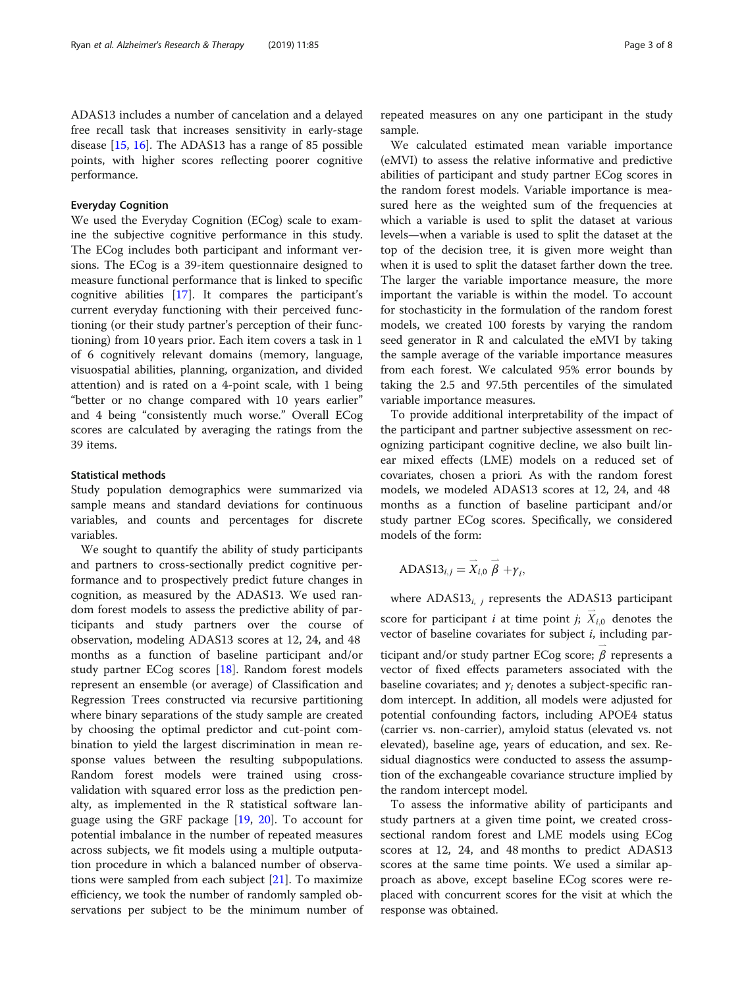## Everyday Cognition

We used the Everyday Cognition (ECog) scale to examine the subjective cognitive performance in this study. The ECog includes both participant and informant versions. The ECog is a 39-item questionnaire designed to measure functional performance that is linked to specific cognitive abilities [[17\]](#page-7-0). It compares the participant's current everyday functioning with their perceived functioning (or their study partner's perception of their functioning) from 10 years prior. Each item covers a task in 1 of 6 cognitively relevant domains (memory, language, visuospatial abilities, planning, organization, and divided attention) and is rated on a 4-point scale, with 1 being "better or no change compared with 10 years earlier" and 4 being "consistently much worse." Overall ECog scores are calculated by averaging the ratings from the 39 items.

## Statistical methods

Study population demographics were summarized via sample means and standard deviations for continuous variables, and counts and percentages for discrete variables.

We sought to quantify the ability of study participants and partners to cross-sectionally predict cognitive performance and to prospectively predict future changes in cognition, as measured by the ADAS13. We used random forest models to assess the predictive ability of participants and study partners over the course of observation, modeling ADAS13 scores at 12, 24, and 48 months as a function of baseline participant and/or study partner ECog scores [[18\]](#page-7-0). Random forest models represent an ensemble (or average) of Classification and Regression Trees constructed via recursive partitioning where binary separations of the study sample are created by choosing the optimal predictor and cut-point combination to yield the largest discrimination in mean response values between the resulting subpopulations. Random forest models were trained using crossvalidation with squared error loss as the prediction penalty, as implemented in the R statistical software language using the GRF package [[19](#page-7-0), [20\]](#page-7-0). To account for potential imbalance in the number of repeated measures across subjects, we fit models using a multiple outputation procedure in which a balanced number of observations were sampled from each subject [\[21](#page-7-0)]. To maximize efficiency, we took the number of randomly sampled observations per subject to be the minimum number of

repeated measures on any one participant in the study sample.

We calculated estimated mean variable importance (eMVI) to assess the relative informative and predictive abilities of participant and study partner ECog scores in the random forest models. Variable importance is measured here as the weighted sum of the frequencies at which a variable is used to split the dataset at various levels—when a variable is used to split the dataset at the top of the decision tree, it is given more weight than when it is used to split the dataset farther down the tree. The larger the variable importance measure, the more important the variable is within the model. To account for stochasticity in the formulation of the random forest models, we created 100 forests by varying the random seed generator in R and calculated the eMVI by taking the sample average of the variable importance measures from each forest. We calculated 95% error bounds by taking the 2.5 and 97.5th percentiles of the simulated variable importance measures.

To provide additional interpretability of the impact of the participant and partner subjective assessment on recognizing participant cognitive decline, we also built linear mixed effects (LME) models on a reduced set of covariates, chosen a priori. As with the random forest models, we modeled ADAS13 scores at 12, 24, and 48 months as a function of baseline participant and/or study partner ECog scores. Specifically, we considered models of the form:

$$
ADAS13_{i,j} = \vec{X}_{i,0} \, \vec{\beta} + \gamma_i,
$$

where  $ADAS13<sub>i, j</sub>$  represents the ADAS13 participant score for participant *i* at time point *j*;  $\vec{X}_{i,0}$  denotes the vector of baseline covariates for subject  $i$ , including participant and/or study partner ECog score;  $\vec{\beta}$  represents a vector of fixed effects parameters associated with the baseline covariates; and  $\gamma_i$  denotes a subject-specific random intercept. In addition, all models were adjusted for potential confounding factors, including APOE4 status (carrier vs. non-carrier), amyloid status (elevated vs. not elevated), baseline age, years of education, and sex. Residual diagnostics were conducted to assess the assumption of the exchangeable covariance structure implied by the random intercept model.

To assess the informative ability of participants and study partners at a given time point, we created crosssectional random forest and LME models using ECog scores at 12, 24, and 48 months to predict ADAS13 scores at the same time points. We used a similar approach as above, except baseline ECog scores were replaced with concurrent scores for the visit at which the response was obtained.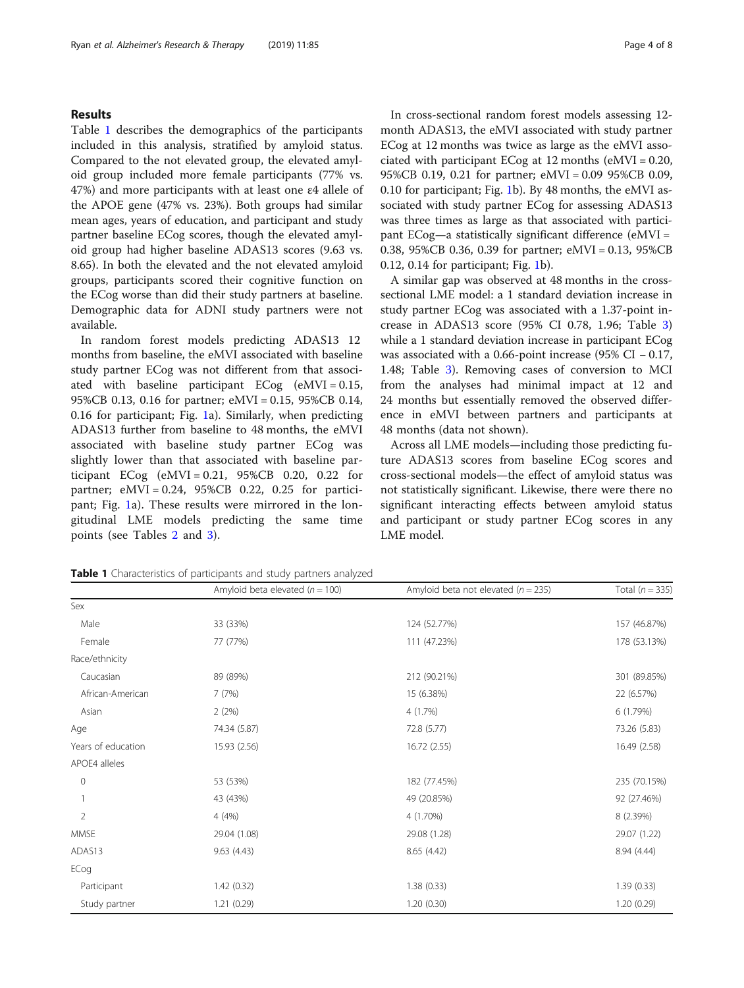## Results

Table 1 describes the demographics of the participants included in this analysis, stratified by amyloid status. Compared to the not elevated group, the elevated amyloid group included more female participants (77% vs. 47%) and more participants with at least one ε4 allele of the APOE gene (47% vs. 23%). Both groups had similar mean ages, years of education, and participant and study partner baseline ECog scores, though the elevated amyloid group had higher baseline ADAS13 scores (9.63 vs. 8.65). In both the elevated and the not elevated amyloid groups, participants scored their cognitive function on the ECog worse than did their study partners at baseline. Demographic data for ADNI study partners were not available.

In random forest models predicting ADAS13 12 months from baseline, the eMVI associated with baseline study partner ECog was not different from that associated with baseline participant  $ECog$  (eMVI = 0.15, 95%CB 0.13, 0.16 for partner; eMVI = 0.15, 95%CB 0.14, 0.16 for participant; Fig. [1](#page-4-0)a). Similarly, when predicting ADAS13 further from baseline to 48 months, the eMVI associated with baseline study partner ECog was slightly lower than that associated with baseline participant ECog (eMVI = 0.21, 95%CB 0.20, 0.22 for partner; eMVI = 0.24, 95%CB 0.22, 0.25 for participant; Fig. [1](#page-4-0)a). These results were mirrored in the longitudinal LME models predicting the same time points (see Tables [2](#page-4-0) and [3\)](#page-5-0).

In cross-sectional random forest models assessing 12 month ADAS13, the eMVI associated with study partner ECog at 12 months was twice as large as the eMVI associated with participant ECog at  $12$  months (eMVI = 0.20, 95%CB 0.19, 0.21 for partner; eMVI = 0.09 95%CB 0.09, 0.10 for participant; Fig. [1b](#page-4-0)). By 48 months, the eMVI associated with study partner ECog for assessing ADAS13 was three times as large as that associated with participant ECog—a statistically significant difference (eMVI = 0.38, 95%CB 0.36, 0.39 for partner; eMVI = 0.13, 95%CB 0.12, 0.14 for participant; Fig. [1b](#page-4-0)).

A similar gap was observed at 48 months in the crosssectional LME model: a 1 standard deviation increase in study partner ECog was associated with a 1.37-point increase in ADAS13 score (95% CI 0.78, 1.96; Table [3](#page-5-0)) while a 1 standard deviation increase in participant ECog was associated with a 0.66-point increase (95% CI − 0.17, 1.48; Table [3\)](#page-5-0). Removing cases of conversion to MCI from the analyses had minimal impact at 12 and 24 months but essentially removed the observed difference in eMVI between partners and participants at 48 months (data not shown).

Across all LME models—including those predicting future ADAS13 scores from baseline ECog scores and cross-sectional models—the effect of amyloid status was not statistically significant. Likewise, there were there no significant interacting effects between amyloid status and participant or study partner ECog scores in any LME model.

|                    | Amyloid beta elevated ( $n = 100$ ) | Amyloid beta not elevated ( $n = 235$ ) | Total ( $n = 335$ ) |
|--------------------|-------------------------------------|-----------------------------------------|---------------------|
| Sex                |                                     |                                         |                     |
| Male               | 33 (33%)                            | 124 (52.77%)                            | 157 (46.87%)        |
| Female             | 77 (77%)                            | 111 (47.23%)                            | 178 (53.13%)        |
| Race/ethnicity     |                                     |                                         |                     |
| Caucasian          | 89 (89%)                            | 212 (90.21%)                            | 301 (89.85%)        |
| African-American   | 7(7%)                               | 15 (6.38%)                              | 22 (6.57%)          |
| Asian              | 2(2%)                               | 4(1.7%)                                 | 6 (1.79%)           |
| Age                | 74.34 (5.87)                        | 72.8 (5.77)                             | 73.26 (5.83)        |
| Years of education | 15.93 (2.56)                        | 16.72 (2.55)                            | 16.49 (2.58)        |
| APOE4 alleles      |                                     |                                         |                     |
| 0                  | 53 (53%)                            | 182 (77.45%)                            | 235 (70.15%)        |
|                    | 43 (43%)                            | 49 (20.85%)                             | 92 (27.46%)         |
| $\overline{2}$     | 4(4%)                               | 4 (1.70%)                               | 8 (2.39%)           |
| <b>MMSE</b>        | 29.04 (1.08)                        | 29.08 (1.28)                            | 29.07 (1.22)        |
| ADAS13             | 9.63(4.43)                          | 8.65 (4.42)                             | 8.94 (4.44)         |
| ECog               |                                     |                                         |                     |
| Participant        | 1.42(0.32)                          | 1.38(0.33)                              | 1.39(0.33)          |
| Study partner      | 1.21(0.29)                          | 1.20(0.30)                              | 1.20(0.29)          |

Table 1 Characteristics of participants and study partners analyzed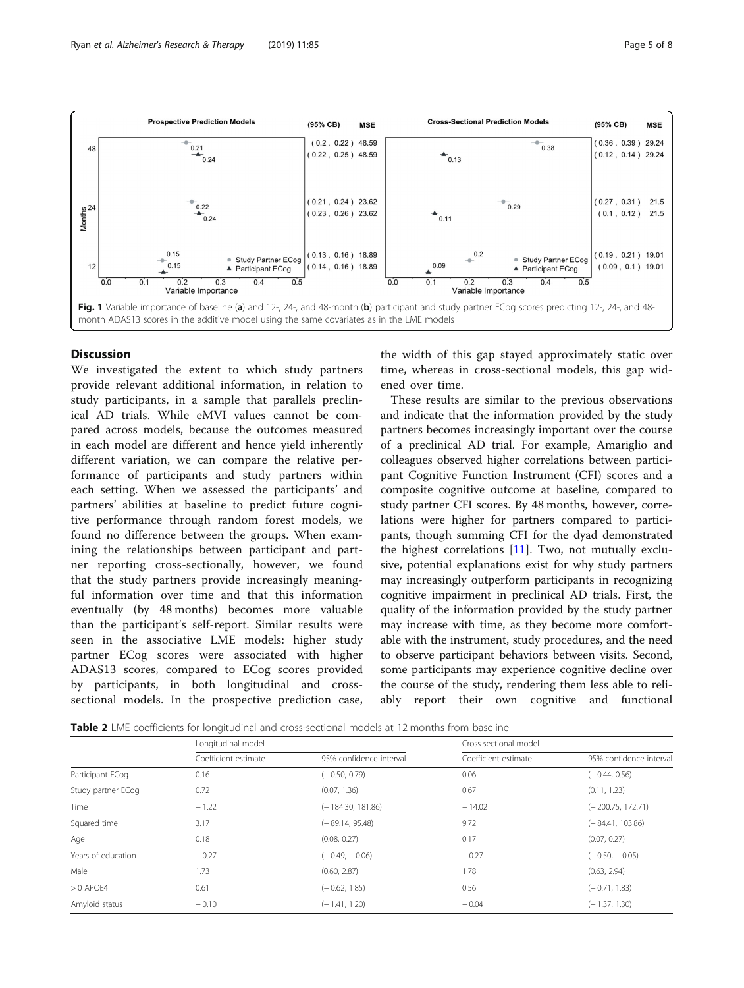<span id="page-4-0"></span>

## Discussion

We investigated the extent to which study partners provide relevant additional information, in relation to study participants, in a sample that parallels preclinical AD trials. While eMVI values cannot be compared across models, because the outcomes measured in each model are different and hence yield inherently different variation, we can compare the relative performance of participants and study partners within each setting. When we assessed the participants' and partners' abilities at baseline to predict future cognitive performance through random forest models, we found no difference between the groups. When examining the relationships between participant and partner reporting cross-sectionally, however, we found that the study partners provide increasingly meaningful information over time and that this information eventually (by 48 months) becomes more valuable than the participant's self-report. Similar results were seen in the associative LME models: higher study partner ECog scores were associated with higher ADAS13 scores, compared to ECog scores provided by participants, in both longitudinal and crosssectional models. In the prospective prediction case, the width of this gap stayed approximately static over time, whereas in cross-sectional models, this gap widened over time.

These results are similar to the previous observations and indicate that the information provided by the study partners becomes increasingly important over the course of a preclinical AD trial. For example, Amariglio and colleagues observed higher correlations between participant Cognitive Function Instrument (CFI) scores and a composite cognitive outcome at baseline, compared to study partner CFI scores. By 48 months, however, correlations were higher for partners compared to participants, though summing CFI for the dyad demonstrated the highest correlations [\[11\]](#page-7-0). Two, not mutually exclusive, potential explanations exist for why study partners may increasingly outperform participants in recognizing cognitive impairment in preclinical AD trials. First, the quality of the information provided by the study partner may increase with time, as they become more comfortable with the instrument, study procedures, and the need to observe participant behaviors between visits. Second, some participants may experience cognitive decline over the course of the study, rendering them less able to reliably report their own cognitive and functional

Table 2 LME coefficients for longitudinal and cross-sectional models at 12 months from baseline

|                    | Longitudinal model   |                         |                      |                         |
|--------------------|----------------------|-------------------------|----------------------|-------------------------|
|                    | Coefficient estimate | 95% confidence interval | Coefficient estimate | 95% confidence interval |
| Participant ECoq   | 0.16                 | $(-0.50, 0.79)$         | 0.06                 | $(-0.44, 0.56)$         |
| Study partner ECog | 0.72                 | (0.07, 1.36)            | 0.67                 | (0.11, 1.23)            |
| Time               | $-1.22$              | $(-184.30, 181.86)$     | $-14.02$             | $(-200.75, 172.71)$     |
| Squared time       | 3.17                 | $(-89.14, 95.48)$       | 9.72                 | $(-84.41, 103.86)$      |
| Age                | 0.18                 | (0.08, 0.27)            | 0.17                 | (0.07, 0.27)            |
| Years of education | $-0.27$              | $(-0.49, -0.06)$        | $-0.27$              | $(-0.50, -0.05)$        |
| Male               | 1.73                 | (0.60, 2.87)            | 1.78                 | (0.63, 2.94)            |
| $> 0$ APOE4        | 0.61                 | $(-0.62, 1.85)$         | 0.56                 | $(-0.71, 1.83)$         |
| Amyloid status     | $-0.10$              | $(-1.41, 1.20)$         | $-0.04$              | $(-1.37, 1.30)$         |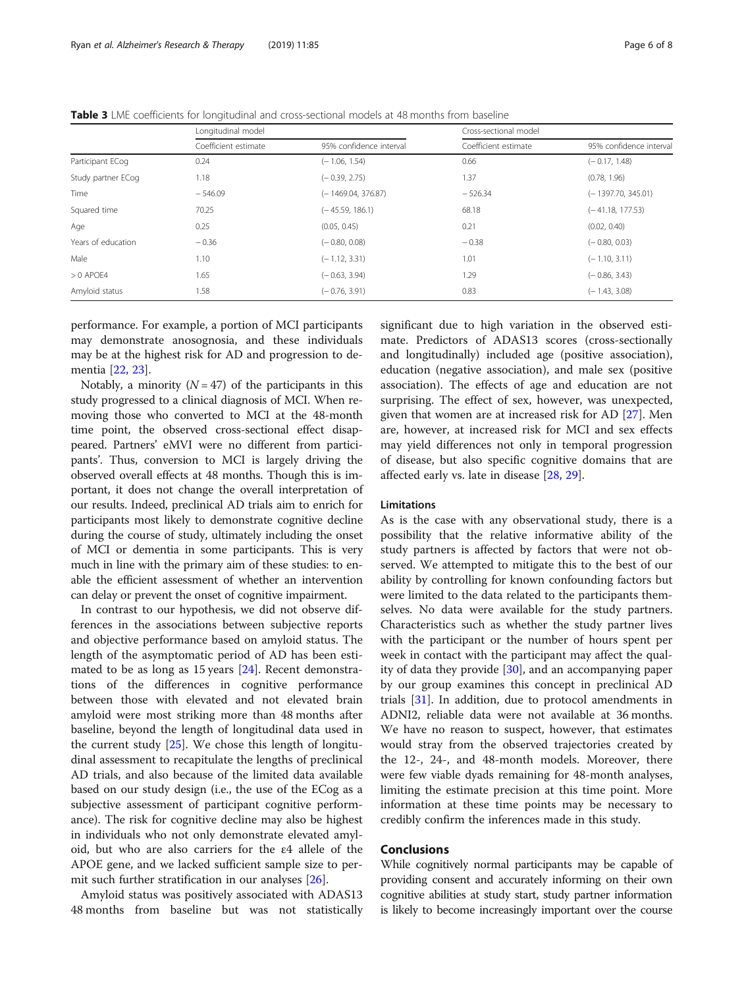|                    | Longitudinal model   |                         |                      |                         |
|--------------------|----------------------|-------------------------|----------------------|-------------------------|
|                    | Coefficient estimate | 95% confidence interval | Coefficient estimate | 95% confidence interval |
| Participant ECoq   | 0.24                 | $(-1.06, 1.54)$         | 0.66                 | $(-0.17, 1.48)$         |
| Study partner ECog | 1.18                 | $(-0.39, 2.75)$         | 1.37                 | (0.78, 1.96)            |
| Time               | $-546.09$            | $(-1469.04, 376.87)$    | $-526.34$            | $(-1397.70, 345.01)$    |
| Squared time       | 70.25                | $(-45.59, 186.1)$       | 68.18                | $(-41.18, 177.53)$      |
| Age                | 0.25                 | (0.05, 0.45)            | 0.21                 | (0.02, 0.40)            |
| Years of education | $-0.36$              | $(-0.80, 0.08)$         | $-0.38$              | $(-0.80, 0.03)$         |
| Male               | 1.10                 | $(-1.12, 3.31)$         | 1.01                 | $(-1.10, 3.11)$         |
| $> 0$ APOE4        | 1.65                 | $(-0.63, 3.94)$         | 1.29                 | $(-0.86, 3.43)$         |
| Amyloid status     | 1.58                 | $(-0.76, 3.91)$         | 0.83                 | $(-1.43, 3.08)$         |

<span id="page-5-0"></span>Table 3 LME coefficients for longitudinal and cross-sectional models at 48 months from baseline

performance. For example, a portion of MCI participants may demonstrate anosognosia, and these individuals may be at the highest risk for AD and progression to dementia [[22,](#page-7-0) [23\]](#page-7-0).

Notably, a minority  $(N = 47)$  of the participants in this study progressed to a clinical diagnosis of MCI. When removing those who converted to MCI at the 48-month time point, the observed cross-sectional effect disappeared. Partners' eMVI were no different from participants'. Thus, conversion to MCI is largely driving the observed overall effects at 48 months. Though this is important, it does not change the overall interpretation of our results. Indeed, preclinical AD trials aim to enrich for participants most likely to demonstrate cognitive decline during the course of study, ultimately including the onset of MCI or dementia in some participants. This is very much in line with the primary aim of these studies: to enable the efficient assessment of whether an intervention can delay or prevent the onset of cognitive impairment.

In contrast to our hypothesis, we did not observe differences in the associations between subjective reports and objective performance based on amyloid status. The length of the asymptomatic period of AD has been estimated to be as long as 15 years [[24\]](#page-7-0). Recent demonstrations of the differences in cognitive performance between those with elevated and not elevated brain amyloid were most striking more than 48 months after baseline, beyond the length of longitudinal data used in the current study [[25](#page-7-0)]. We chose this length of longitudinal assessment to recapitulate the lengths of preclinical AD trials, and also because of the limited data available based on our study design (i.e., the use of the ECog as a subjective assessment of participant cognitive performance). The risk for cognitive decline may also be highest in individuals who not only demonstrate elevated amyloid, but who are also carriers for the ε4 allele of the APOE gene, and we lacked sufficient sample size to permit such further stratification in our analyses [\[26\]](#page-7-0).

Amyloid status was positively associated with ADAS13 48 months from baseline but was not statistically

significant due to high variation in the observed estimate. Predictors of ADAS13 scores (cross-sectionally and longitudinally) included age (positive association), education (negative association), and male sex (positive association). The effects of age and education are not surprising. The effect of sex, however, was unexpected, given that women are at increased risk for AD [[27](#page-7-0)]. Men are, however, at increased risk for MCI and sex effects may yield differences not only in temporal progression of disease, but also specific cognitive domains that are affected early vs. late in disease [\[28,](#page-7-0) [29\]](#page-7-0).

## Limitations

As is the case with any observational study, there is a possibility that the relative informative ability of the study partners is affected by factors that were not observed. We attempted to mitigate this to the best of our ability by controlling for known confounding factors but were limited to the data related to the participants themselves. No data were available for the study partners. Characteristics such as whether the study partner lives with the participant or the number of hours spent per week in contact with the participant may affect the quality of data they provide [[30](#page-7-0)], and an accompanying paper by our group examines this concept in preclinical AD trials [\[31\]](#page-7-0). In addition, due to protocol amendments in ADNI2, reliable data were not available at 36 months. We have no reason to suspect, however, that estimates would stray from the observed trajectories created by the 12-, 24-, and 48-month models. Moreover, there were few viable dyads remaining for 48-month analyses, limiting the estimate precision at this time point. More information at these time points may be necessary to credibly confirm the inferences made in this study.

## Conclusions

While cognitively normal participants may be capable of providing consent and accurately informing on their own cognitive abilities at study start, study partner information is likely to become increasingly important over the course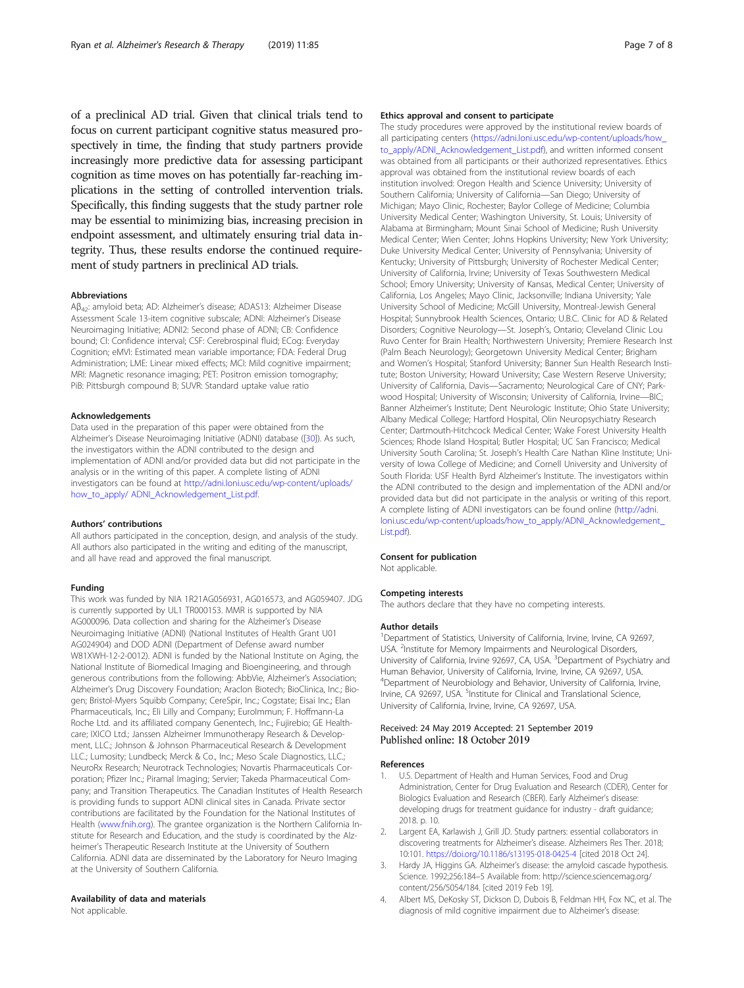<span id="page-6-0"></span>of a preclinical AD trial. Given that clinical trials tend to focus on current participant cognitive status measured prospectively in time, the finding that study partners provide increasingly more predictive data for assessing participant cognition as time moves on has potentially far-reaching implications in the setting of controlled intervention trials. Specifically, this finding suggests that the study partner role may be essential to minimizing bias, increasing precision in endpoint assessment, and ultimately ensuring trial data integrity. Thus, these results endorse the continued requirement of study partners in preclinical AD trials.

#### Abbreviations

Aβ42: amyloid beta; AD: Alzheimer's disease; ADAS13: Alzheimer Disease Assessment Scale 13-item cognitive subscale; ADNI: Alzheimer's Disease Neuroimaging Initiative; ADNI2: Second phase of ADNI; CB: Confidence bound; CI: Confidence interval; CSF: Cerebrospinal fluid; ECog: Everyday Cognition; eMVI: Estimated mean variable importance; FDA: Federal Drug Administration; LME: Linear mixed effects; MCI: Mild cognitive impairment; MRI: Magnetic resonance imaging; PET: Positron emission tomography; PiB: Pittsburgh compound B; SUVR: Standard uptake value ratio

#### Acknowledgements

Data used in the preparation of this paper were obtained from the Alzheimer's Disease Neuroimaging Initiative (ADNI) database ([\[30](#page-7-0)]). As such, the investigators within the ADNI contributed to the design and implementation of ADNI and/or provided data but did not participate in the analysis or in the writing of this paper. A complete listing of ADNI investigators can be found at [http://adni.loni.usc.edu/wp-content/uploads/](http://adni.loni.usc.edu/wp-content/uploads/how_to_apply/%20ADNI_Acknowledgement_List.pdf) how to apply/ ADNI Acknowledgement List.pdf.

#### Authors' contributions

All authors participated in the conception, design, and analysis of the study. All authors also participated in the writing and editing of the manuscript, and all have read and approved the final manuscript.

#### Funding

This work was funded by NIA 1R21AG056931, AG016573, and AG059407. JDG is currently supported by UL1 TR000153. MMR is supported by NIA AG000096. Data collection and sharing for the Alzheimer's Disease Neuroimaging Initiative (ADNI) (National Institutes of Health Grant U01 AG024904) and DOD ADNI (Department of Defense award number W81XWH-12-2-0012). ADNI is funded by the National Institute on Aging, the National Institute of Biomedical Imaging and Bioengineering, and through generous contributions from the following: AbbVie, Alzheimer's Association; Alzheimer's Drug Discovery Foundation; Araclon Biotech; BioClinica, Inc.; Biogen; Bristol-Myers Squibb Company; CereSpir, Inc.; Cogstate; Eisai Inc.; Elan Pharmaceuticals, Inc.; Eli Lilly and Company; EuroImmun; F. Hoffmann-La Roche Ltd. and its affiliated company Genentech, Inc.; Fujirebio; GE Healthcare; IXICO Ltd.; Janssen Alzheimer Immunotherapy Research & Development, LLC.; Johnson & Johnson Pharmaceutical Research & Development LLC.; Lumosity; Lundbeck; Merck & Co., Inc.; Meso Scale Diagnostics, LLC.; NeuroRx Research; Neurotrack Technologies; Novartis Pharmaceuticals Corporation; Pfizer Inc.; Piramal Imaging; Servier; Takeda Pharmaceutical Company; and Transition Therapeutics. The Canadian Institutes of Health Research is providing funds to support ADNI clinical sites in Canada. Private sector contributions are facilitated by the Foundation for the National Institutes of Health [\(www.fnih.org\)](http://www.fnih.org). The grantee organization is the Northern California Institute for Research and Education, and the study is coordinated by the Alzheimer's Therapeutic Research Institute at the University of Southern California. ADNI data are disseminated by the Laboratory for Neuro Imaging at the University of Southern California.

## Availability of data and materials

Not applicable.

#### Ethics approval and consent to participate

The study procedures were approved by the institutional review boards of all participating centers [\(https://adni.loni.usc.edu/wp-content/uploads/how\\_](https://adni.loni.usc.edu/wp-content/uploads/how_to_apply/ADNI_Acknowledgement_List.pdf) [to\\_apply/ADNI\\_Acknowledgement\\_List.pdf](https://adni.loni.usc.edu/wp-content/uploads/how_to_apply/ADNI_Acknowledgement_List.pdf)), and written informed consent was obtained from all participants or their authorized representatives. Ethics approval was obtained from the institutional review boards of each institution involved: Oregon Health and Science University; University of Southern California; University of California—San Diego; University of Michigan; Mayo Clinic, Rochester; Baylor College of Medicine; Columbia University Medical Center; Washington University, St. Louis; University of Alabama at Birmingham; Mount Sinai School of Medicine; Rush University Medical Center; Wien Center; Johns Hopkins University; New York University; Duke University Medical Center; University of Pennsylvania; University of Kentucky; University of Pittsburgh; University of Rochester Medical Center; University of California, Irvine; University of Texas Southwestern Medical School; Emory University; University of Kansas, Medical Center; University of California, Los Angeles; Mayo Clinic, Jacksonville; Indiana University; Yale University School of Medicine; McGill University, Montreal-Jewish General Hospital; Sunnybrook Health Sciences, Ontario; U.B.C. Clinic for AD & Related Disorders; Cognitive Neurology—St. Joseph's, Ontario; Cleveland Clinic Lou Ruvo Center for Brain Health; Northwestern University; Premiere Research Inst (Palm Beach Neurology); Georgetown University Medical Center; Brigham and Women's Hospital; Stanford University; Banner Sun Health Research Institute; Boston University; Howard University; Case Western Reserve University; University of California, Davis—Sacramento; Neurological Care of CNY; Parkwood Hospital; University of Wisconsin; University of California, Irvine—BIC; Banner Alzheimer's Institute; Dent Neurologic Institute; Ohio State University; Albany Medical College; Hartford Hospital, Olin Neuropsychiatry Research Center; Dartmouth-Hitchcock Medical Center; Wake Forest University Health Sciences; Rhode Island Hospital; Butler Hospital; UC San Francisco; Medical University South Carolina; St. Joseph's Health Care Nathan Kline Institute; University of Iowa College of Medicine; and Cornell University and University of South Florida: USF Health Byrd Alzheimer's Institute. The investigators within the ADNI contributed to the design and implementation of the ADNI and/or provided data but did not participate in the analysis or writing of this report. A complete listing of ADNI investigators can be found online ([http://adni.](http://adni.loni.usc.edu/wp-content/uploads/how_to_apply/ADNI_Acknowledgement_List.pdf) [loni.usc.edu/wp-content/uploads/how\\_to\\_apply/ADNI\\_Acknowledgement\\_](http://adni.loni.usc.edu/wp-content/uploads/how_to_apply/ADNI_Acknowledgement_List.pdf) [List.pdf\)](http://adni.loni.usc.edu/wp-content/uploads/how_to_apply/ADNI_Acknowledgement_List.pdf).

## Consent for publication

Not applicable.

#### Competing interests

The authors declare that they have no competing interests.

#### Author details

<sup>1</sup>Department of Statistics, University of California, Irvine, Irvine, CA 92697, USA. <sup>2</sup>Institute for Memory Impairments and Neurological Disorders, University of California, Irvine 92697, CA, USA. <sup>3</sup>Department of Psychiatry and Human Behavior, University of California, Irvine, Irvine, CA 92697, USA. 4 Department of Neurobiology and Behavior, University of California, Irvine, Irvine, CA 92697, USA. <sup>5</sup>Institute for Clinical and Translational Science University of California, Irvine, Irvine, CA 92697, USA.

#### Received: 24 May 2019 Accepted: 21 September 2019 Published online: 18 October 2019

#### References

- 1. U.S. Department of Health and Human Services, Food and Drug Administration, Center for Drug Evaluation and Research (CDER), Center for Biologics Evaluation and Research (CBER). Early Alzheimer's disease: developing drugs for treatment guidance for industry - draft guidance; 2018. p. 10.
- 2. Largent EA, Karlawish J, Grill JD. Study partners: essential collaborators in discovering treatments for Alzheimer's disease. Alzheimers Res Ther. 2018; 10:101. <https://doi.org/10.1186/s13195-018-0425-4> [cited 2018 Oct 24].
- 3. Hardy JA, Higgins GA. Alzheimer's disease: the amyloid cascade hypothesis. Science. 1992;256:184–5 Available from: http://science.sciencemag.org/ content/256/5054/184. [cited 2019 Feb 19].
- 4. Albert MS, DeKosky ST, Dickson D, Dubois B, Feldman HH, Fox NC, et al. The diagnosis of mild cognitive impairment due to Alzheimer's disease: